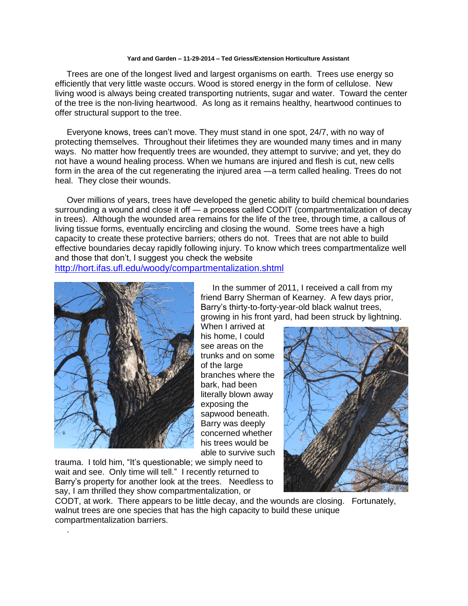## **Yard and Garden – 11-29-2014 – Ted Griess/Extension Horticulture Assistant**

 Trees are one of the longest lived and largest organisms on earth. Trees use energy so efficiently that very little waste occurs. Wood is stored energy in the form of cellulose. New living wood is always being created transporting nutrients, sugar and water. Toward the center of the tree is the non-living heartwood. As long as it remains healthy, heartwood continues to offer structural support to the tree.

 Everyone knows, trees can't move. They must stand in one spot, 24/7, with no way of protecting themselves. Throughout their lifetimes they are wounded many times and in many ways. No matter how frequently trees are wounded, they attempt to survive; and yet, they do not have a wound healing process. When we humans are injured and flesh is cut, new cells form in the area of the cut regenerating the injured area —a term called healing. Trees do not heal. They close their wounds.

 Over millions of years, trees have developed the genetic ability to build chemical boundaries surrounding a wound and close it off — a process called CODIT (compartmentalization of decay in trees). Although the wounded area remains for the life of the tree, through time, a callous of living tissue forms, eventually encircling and closing the wound. Some trees have a high capacity to create these protective barriers; others do not. Trees that are not able to build effective boundaries decay rapidly following injury. To know which trees compartmentalize well and those that don't, I suggest you check the website <http://hort.ifas.ufl.edu/woody/compartmentalization.shtml>

.

 In the summer of 2011, I received a call from my friend Barry Sherman of Kearney. A few days prior, Barry's thirty-to-forty-year-old black walnut trees, growing in his front yard, had been struck by lightning.

When I arrived at his home, I could see areas on the trunks and on some of the large branches where the bark, had been literally blown away exposing the sapwood beneath. Barry was deeply concerned whether his trees would be able to survive such

trauma. I told him, "It's questionable; we simply need to wait and see. Only time will tell." I recently returned to Barry's property for another look at the trees. Needless to say, I am thrilled they show compartmentalization, or



CODT, at work. There appears to be little decay, and the wounds are closing. Fortunately, walnut trees are one species that has the high capacity to build these unique compartmentalization barriers.